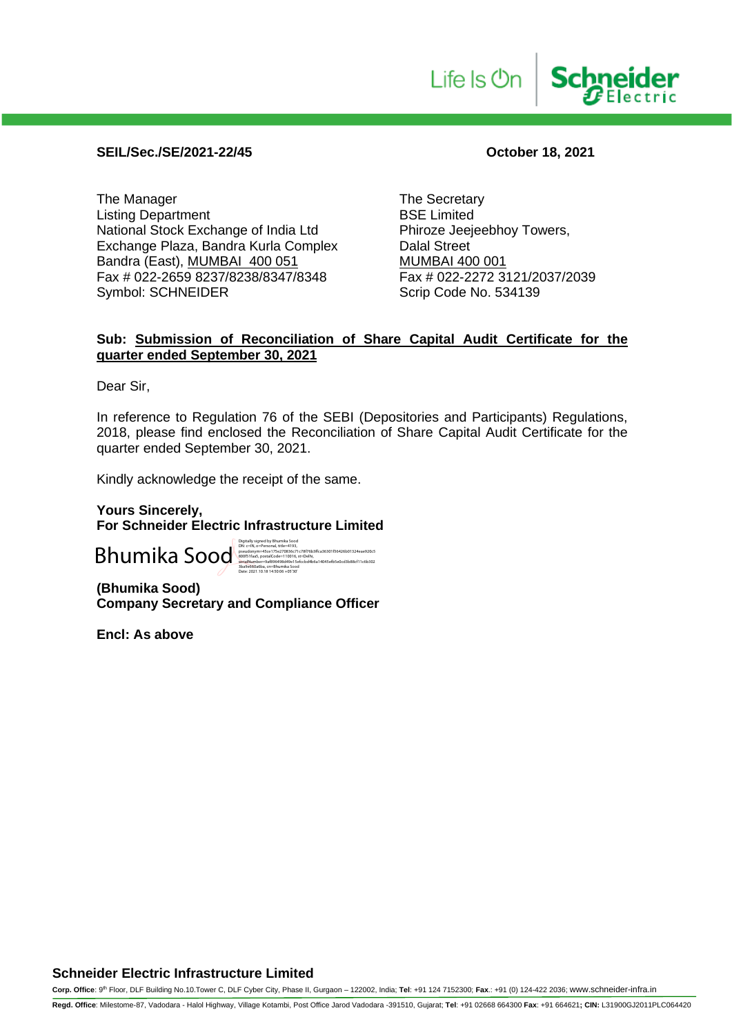#### **SEIL/Sec./SE/2021-22/45 October 18, 2021**

The Manager<br>
Listing Department<br>
Listing Department<br>
The Secretary<br>
BSE Limited Listing Department<br>
National Stock Exchange of India Ltd
<br>
Phiroze Jeejeebhoy Towers, National Stock Exchange of India Ltd Phiroze Jeej<br>Exchange Plaza, Bandra Kurla Complex Dalal Street Exchange Plaza, Bandra Kurla Complex Bandra (East), <u>MUMBAI 400 051</u><br>Fax # 022-2659 8237/8238/8347/8348 Fax # 022-2272 3121/2037/2039 Fax # 022-2659 8237/8238/8347/8348 Symbol: SCHNEIDER Scrip Code No. 534139

**Schneider** 

Life Is **On** 

#### **Sub: Submission of Reconciliation of Share Capital Audit Certificate for the quarter ended September 30, 2021**

Dear Sir,

In reference to Regulation 76 of the SEBI (Depositories and Participants) Regulations, 2018, please find enclosed the Reconciliation of Share Capital Audit Certificate for the quarter ended September 30, 2021.

Kindly acknowledge the receipt of the same.

**Yours Sincerely, For Schneider Electric Infrastructure Limited**

Bhumika Sood

DN: c=IN, o=Personal, title=4193, pseudonym=45ce175e270836c71c78f76b3ffca36301f56426b01324eae920c5 800f51faa5, postalCode=110016, st=Delhi, serialNumber=9af896498d49e15efccbd4b6a14045efb5e0cd3b88cf11c6b302 3ba9e660a6ba, cn=Bhumika Sood Date: 2021.10.18 14:50:06 +05'30'

**(Bhumika Sood) Company Secretary and Compliance Officer**

**Encl: As above**

**Corp. Office**: 9th Floor, DLF Building No.10.Tower C, DLF Cyber City, Phase II, Gurgaon – 122002, India; **Tel**: +91 124 7152300; **Fax**.: +91 (0) 124-422 2036; www.schneider-infra.in

**Regd. Office**: Milestome-87, Vadodara - Halol Highway, Village Kotambi, Post Office Jarod Vadodara -391510, Gujarat; **Tel**: +91 02668 664300 **Fax**: +91 664621**; CIN:** L31900GJ2011PLC064420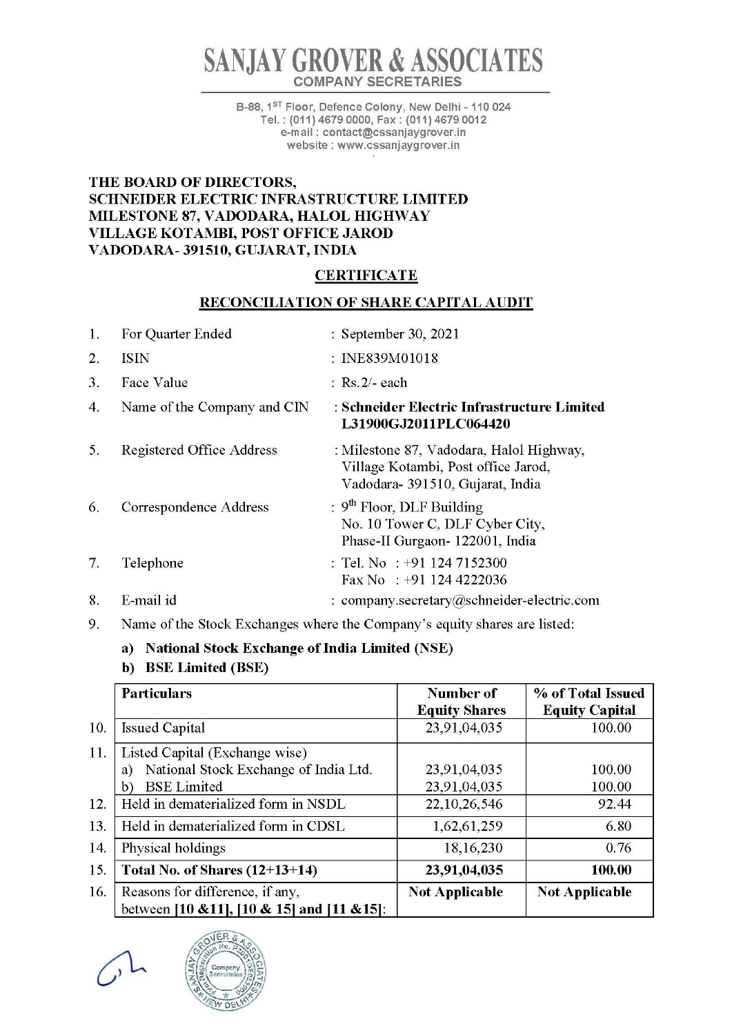# **SAN JAY GROVER & ASSOCIATES**  COMPANY SECRETARIES

B-88, 1<sup>st</sup> Floor, Defence Colony, New Delhi - 110 024 Tel. : (011) 4679 0000, Fax : (011) 4679 0012 e-m ail : contact@cssanjaygrover.in website : www.cssanjaygrover.in

#### THE BOARD OF DIRECTORS, SCHNEIDER ELECTRIC INFRASTRUCTURE LIMITED MILESTONE 87, VADODARA, HALOL HIGHWAY VILLAGE KOTAMBI, POST OFFICE JAROD VADODARA- 391510, GUJARAT, INDIA

#### **CERTIFICATE**

#### RECONCILIATION OF SHARE CAPITAL AUDIT

| $\mathbf{1}$ . | For Quarter Ended           | : September 30, 2021                                                                                                |
|----------------|-----------------------------|---------------------------------------------------------------------------------------------------------------------|
| 2.             | <b>ISIN</b>                 | : INE839M01018                                                                                                      |
| 3.             | Face Value                  | $:$ Rs. 2/- each                                                                                                    |
| 4.             | Name of the Company and CIN | : Schneider Electric Infrastructure Limited<br>L31900GJ2011PLC064420                                                |
| 5.             | Registered Office Address   | : Milestone 87, Vadodara, Halol Highway,<br>Village Kotambi, Post office Jarod,<br>Vadodara- 391510, Gujarat, India |
| 6.             | Correspondence Address      | : $9th$ Floor, DLF Building<br>No. 10 Tower C, DLF Cyber City,<br>Phase-II Gurgaon- 122001, India                   |
| 7.             | Telephone                   | : Tel. No : +91 124 7152300<br>Fax No : $+91$ 124 4222036                                                           |
| 8.             | E-mail id                   | : company.secretary@schneider-electric.com                                                                          |

9. Name of the Stock Exchanges where the Company's equity shares are listed:

#### a) National Stock Exchange of India Limited (NSE)

### b) BSE Limited (BSE)

|     | <b>Particulars</b>                          | Number of             | % of Total Issued     |
|-----|---------------------------------------------|-----------------------|-----------------------|
|     |                                             | <b>Equity Shares</b>  | <b>Equity Capital</b> |
| 10. | <b>Issued Capital</b>                       | 23,91,04,035          | 100.00                |
| 11. | Listed Capital (Exchange wise)              |                       |                       |
|     | National Stock Exchange of India Ltd.<br>a) | 23,91,04,035          | 100.00                |
|     | <b>BSE</b> Limited<br>b)                    | 23,91,04,035          | 100.00                |
| 12. | Held in dematerialized form in NSDL         | 22, 10, 26, 546       | 92.44                 |
| 13. | Held in dematerialized form in CDSL         | 1,62,61,259           | 6.80                  |
| 14. | Physical holdings                           | 18, 16, 230           | 0.76                  |
| 15. | Total No. of Shares $(12+13+14)$            | 23,91,04,035          | 100.00                |
| 16. | Reasons for difference, if any,             | <b>Not Applicable</b> | <b>Not Applicable</b> |
|     | between [10 & 11], [10 & 15] and [11 & 15]: |                       |                       |

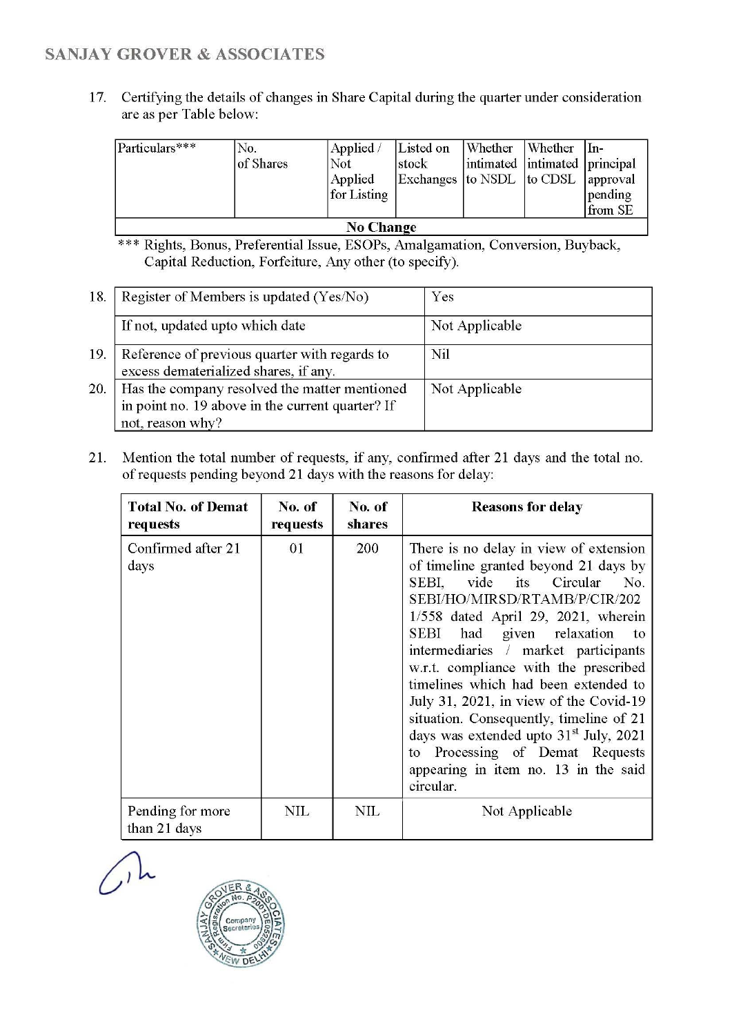## SANJAY GROVER & ASSOCIATES

17. Certifying the details of changes in Share Capital during the quarter under consideration are as per Table below:

| Particulars***   | No.<br>of Shares | Applied /<br>Not<br>Applied<br>for Listing | Listed on<br>stock<br>Exchanges to NSDL to CDSL | Whether | Whether<br>intimated intimated principal | $In-$<br>approval<br>pending<br>from SE |
|------------------|------------------|--------------------------------------------|-------------------------------------------------|---------|------------------------------------------|-----------------------------------------|
| <b>No Change</b> |                  |                                            |                                                 |         |                                          |                                         |

\*\*\* Rights, Bonus, Preferential Issue, ESOPs, Amalgamation, Conversion, Buyback, Capital Reduction, Forfeiture, Any other (to specify).

| 18. | Register of Members is updated (Yes/No)                                                                               | Yes             |
|-----|-----------------------------------------------------------------------------------------------------------------------|-----------------|
|     | If not, updated upto which date                                                                                       | Not Applicable  |
| 19. | Reference of previous quarter with regards to<br>excess dematerialized shares, if any.                                | N <sub>il</sub> |
| 20. | Has the company resolved the matter mentioned<br>in point no. 19 above in the current quarter? If<br>not, reason why? | Not Applicable  |

21. Mention the total number of requests, if any, confirmed after 21 days and the total no. of requests pending beyond 21 days with the reasons for delay:

| <b>Total No. of Demat</b><br>requests | No. of<br>requests | No. of<br><b>shares</b> | <b>Reasons for delay</b>                                                                                                                                                                                                                                                                                                                                                                                                                                                                                                                                                                            |
|---------------------------------------|--------------------|-------------------------|-----------------------------------------------------------------------------------------------------------------------------------------------------------------------------------------------------------------------------------------------------------------------------------------------------------------------------------------------------------------------------------------------------------------------------------------------------------------------------------------------------------------------------------------------------------------------------------------------------|
| Confirmed after 21<br>days            | 01                 | 200                     | There is no delay in view of extension<br>of timeline granted beyond 21 days by<br>vide its Circular<br>No.<br>SEBI.<br>SEBI/HO/MIRSD/RTAMB/P/CIR/202<br>$1/558$ dated April 29, 2021, wherein<br>had<br>given relaxation<br>SEBI<br>to<br>intermediaries / market participants<br>w.r.t. compliance with the prescribed<br>timelines which had been extended to<br>July 31, 2021, in view of the Covid-19<br>situation. Consequently, timeline of 21<br>days was extended upto 31 <sup>st</sup> July, 2021<br>to Processing of Demat Requests<br>appearing in item no. 13 in the said<br>circular. |
| Pending for more<br>than 21 days      | <b>NIL</b>         | NIL                     | Not Applicable                                                                                                                                                                                                                                                                                                                                                                                                                                                                                                                                                                                      |